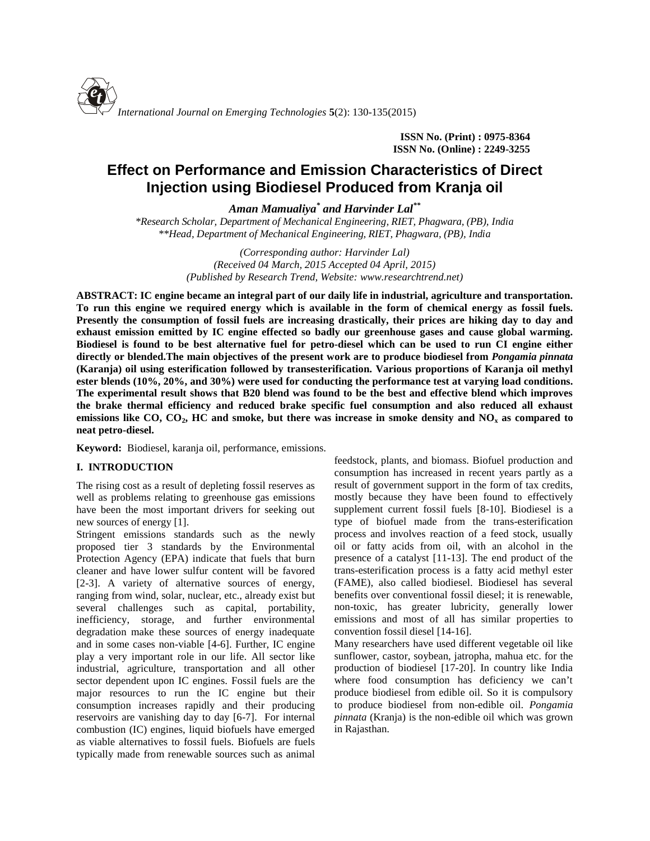

**ISSN No. (Print) : 0975-8364 ISSN No. (Online) : 2249-3255**

# **Effect on Performance and Emission Characteristics of Direct Injection using Biodiesel Produced from Kranja oil**

*Aman Mamualiya\* and Harvinder Lal\*\**

*\*Research Scholar, Department of Mechanical Engineering, RIET, Phagwara, (PB), India \*\*Head, Department of Mechanical Engineering, RIET, Phagwara, (PB), India*

> *(Corresponding author: Harvinder Lal) (Received 04 March, 2015 Accepted 04 April, 2015) (Published by Research Trend, Website: [www.researchtrend.net\)](www.researchtrend.net)*

**ABSTRACT: IC engine became an integral part of our daily life in industrial, agriculture and transportation. To run this engine we required energy which is available in the form of chemical energy as fossil fuels. Presently the consumption of fossil fuels are increasing drastically, their prices are hiking day to day and exhaust emission emitted by IC engine effected so badly our greenhouse gases and cause global warming. Biodiesel is found to be best alternative fuel for petro-diesel which can be used to run CI engine either directly or blended.The main objectives of the present work are to produce biodiesel from** *Pongamia pinnata* **(Karanja) oil using esterification followed by transesterification. Various proportions of Karanja oil methyl ester blends (10%, 20%, and 30%) were used for conducting the performance test at varying load conditions. The experimental result shows that B20 blend was found to be the best and effective blend which improves the brake thermal efficiency and reduced brake specific fuel consumption and also reduced all exhaust emissions like CO, CO2, HC and smoke, but there was increase in smoke density and NO<sup>x</sup> as compared to neat petro-diesel.**

**Keyword:** Biodiesel, karanja oil, performance, emissions.

# **I. INTRODUCTION**

The rising cost as a result of depleting fossil reserves as well as problems relating to greenhouse gas emissions have been the most important drivers for seeking out new sources of energy [1].

Stringent emissions standards such as the newly proposed tier 3 standards by the Environmental Protection Agency (EPA) indicate that fuels that burn cleaner and have lower sulfur content will be favored [2-3]. A variety of alternative sources of energy, ranging from wind, solar, nuclear, etc., already exist but several challenges such as capital, portability, inefficiency, storage, and further environmental degradation make these sources of energy inadequate and in some cases non-viable [4-6]. Further, IC engine play a very important role in our life. All sector like industrial, agriculture, transportation and all other sector dependent upon IC engines. Fossil fuels are the major resources to run the IC engine but their consumption increases rapidly and their producing reservoirs are vanishing day to day [6-7]. For internal combustion (IC) engines, liquid biofuels have emerged as viable alternatives to fossil fuels. Biofuels are fuels typically made from renewable sources such as animal

feedstock, plants, and biomass. Biofuel production and consumption has increased in recent years partly as a result of government support in the form of tax credits, mostly because they have been found to effectively supplement current fossil fuels [8-10]. Biodiesel is a type of biofuel made from the trans-esterification process and involves reaction of a feed stock, usually oil or fatty acids from oil, with an alcohol in the presence of a catalyst [11-13]. The end product of the trans-esterification process is a fatty acid methyl ester (FAME), also called biodiesel. Biodiesel has several benefits over conventional fossil diesel; it is renewable, non-toxic, has greater lubricity, generally lower emissions and most of all has similar properties to convention fossil diesel [14-16].

Many researchers have used different vegetable oil like sunflower, castor, soybean, jatropha, mahua etc. for the production of biodiesel [17-20]. In country like India where food consumption has deficiency we can't produce biodiesel from edible oil. So it is compulsory to produce biodiesel from non-edible oil. *Pongamia pinnata* (Kranja) is the non-edible oil which was grown in Rajasthan.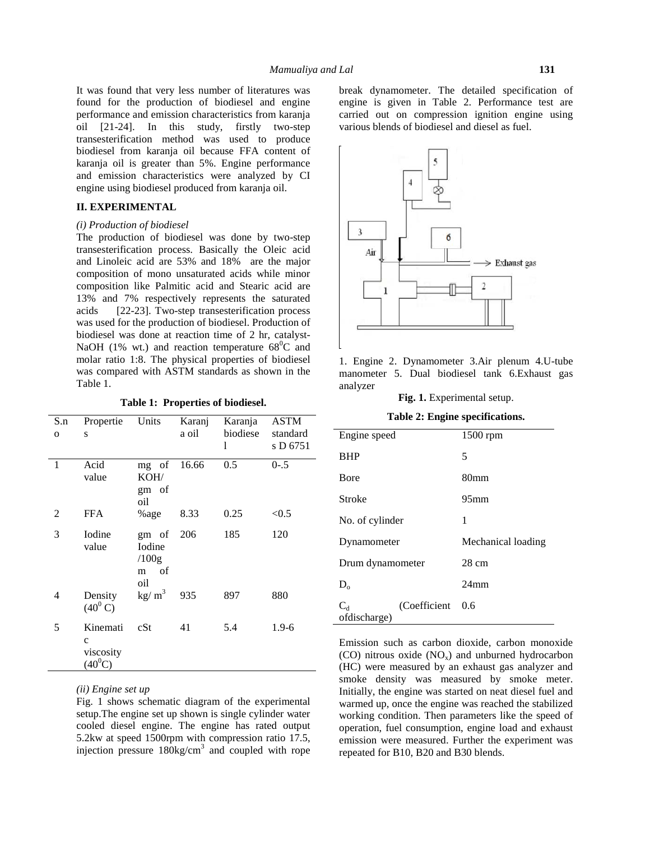It was found that very less number of literatures was found for the production of biodiesel and engine performance and emission characteristics from karanja oil [21-24]. In this study, firstly two-step transesterification method was used to produce biodiesel from karanja oil because FFA content of karanja oil is greater than 5%. Engine performance and emission characteristics were analyzed by CI engine using biodiesel produced from karanja oil.

# **II. EXPERIMENTAL**

#### *(i) Production of biodiesel*

The production of biodiesel was done by two-step transesterification process. Basically the Oleic acid and Linoleic acid are 53% and 18% are the major composition of mono unsaturated acids while minor composition like Palmitic acid and Stearic acid are 13% and 7% respectively represents the saturated acids [22-23]. Two-step transesterification process was used for the production of biodiesel. Production of biodiesel was done at reaction time of 2 hr, catalyst- NaOH (1% wt.) and reaction temperature  $68^{\circ}$ C and molar ratio 1:8. The physical properties of biodiesel was compared with ASTM standards as shown in the Table 1.

**Table 1: Properties of biodiesel.**

| S.n            | Propertie                | Units                  | Karanj | Karanja  | ASTM                 |                 |
|----------------|--------------------------|------------------------|--------|----------|----------------------|-----------------|
| $\mathbf{O}$   | S                        |                        | a oil  | biodiese | standard<br>s D 6751 | Engine          |
|                |                          |                        |        | 1        |                      | <b>BHP</b>      |
| $\mathbf{1}$   | Acid                     | mg of                  | 16.66  | 0.5      | $0 - .5$             |                 |
|                | value                    | KOH/                   |        |          |                      | Bore            |
|                |                          | gm of<br>oil           |        |          |                      | Stroke          |
| $\overline{2}$ | <b>FFA</b>               | %age                   | 8.33   | 0.25     | < 0.5                | No. of $\alpha$ |
| 3              | Iodine                   | gm of                  | 206    | 185      | 120                  |                 |
|                | value                    | Iodine                 |        |          |                      | Dynam           |
|                |                          | /100g<br>of<br>m       |        |          |                      | Drum d          |
|                |                          | oil                    |        |          |                      | $D_{0}$         |
| 4              | Density                  | $\text{kg}/\text{m}^3$ | 935    | 897      | 880                  |                 |
|                | $(40^0 C)$               |                        |        |          |                      | $C_d$           |
| 5              |                          | cSt                    | 41     |          |                      | ofdisch         |
|                | Kinemati                 |                        |        | 5.4      | $1.9 - 6$            |                 |
|                | $\mathbf{C}$             |                        |        |          |                      | Emissio         |
|                | viscosity<br>$(40^{0}C)$ |                        |        |          |                      | $(CO)$ n        |
|                |                          |                        |        |          |                      | $(HC)$ w        |

*(ii) Engine set up*

Fig. 1 shows schematic diagram of the experimental setup.The engine set up shown is single cylinder water cooled diesel engine. The engine has rated output 5.2kw at speed 1500rpm with compression ratio 17.5, injection pressure  $180\text{kg/cm}^3$  and coupled with rope

break dynamometer. The detailed specification of engine is given in Table 2. Performance test are carried out on compression ignition engine using various blends of biodiesel and diesel as fuel.



1. Engine 2. Dynamometer 3.Air plenum 4.U-tube manometer 5. Dual biodiesel tank 6.Exhaust gas analyzer

**Fig. 1.** Experimental setup.

| Table 2: Engine specifications. |  |
|---------------------------------|--|
|---------------------------------|--|

| Engine speed          |              | 1500 rpm           |  |  |  |
|-----------------------|--------------|--------------------|--|--|--|
| <b>BHP</b>            |              | 5                  |  |  |  |
| Bore                  |              | 80mm               |  |  |  |
| <b>Stroke</b>         |              | 95 <sub>mm</sub>   |  |  |  |
| No. of cylinder       |              | 1                  |  |  |  |
| Dynamometer           |              | Mechanical loading |  |  |  |
| Drum dynamometer      |              | $28 \text{ cm}$    |  |  |  |
| $D_{o}$               |              | 24 <sub>mm</sub>   |  |  |  |
| $C_d$<br>ofdischarge) | (Coefficient | 0.6                |  |  |  |

Emission such as carbon dioxide, carbon monoxide (CO) nitrous oxide  $(NO<sub>x</sub>)$  and unburned hydrocarbon (HC) were measured by an exhaust gas analyzer and smoke density was measured by smoke meter. Initially, the engine was started on neat diesel fuel and warmed up, once the engine was reached the stabilized working condition. Then parameters like the speed of operation, fuel consumption, engine load and exhaust emission were measured. Further the experiment was repeated for B10, B20 and B30 blends.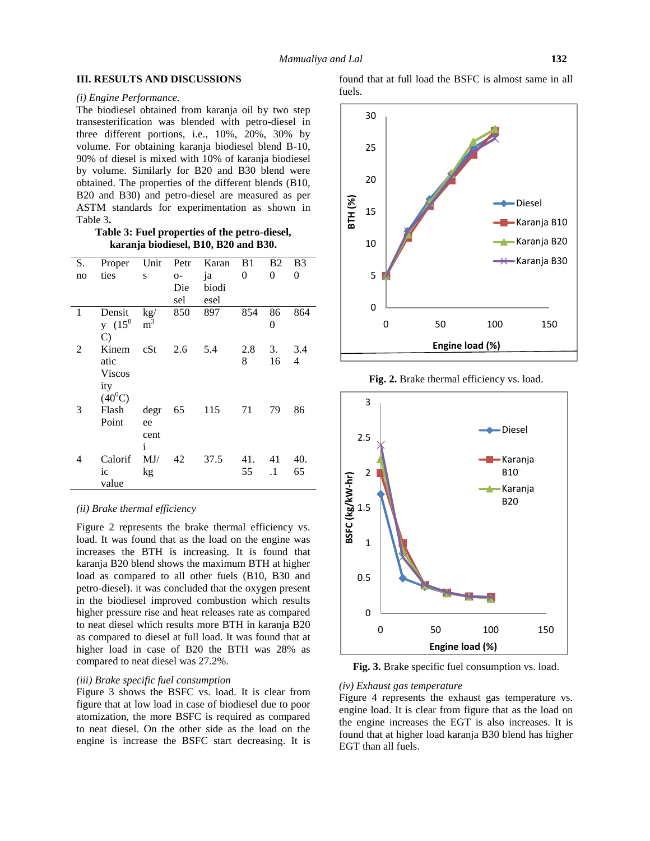## **III. RESULTS AND DISCUSSIONS**

#### *(i) Engine Performance.*

The biodiesel obtained from karanja oil by two step transesterification was blended with petro-diesel in three different portions, i.e., 10%, 20%, 30% by volume. For obtaining karanja biodiesel blend B-10, 90% of diesel is mixed with 10% of karanja biodiesel by volume. Similarly for B20 and B30 blend were obtained. The properties of the different blends (B10, B20 and B30) and petro-diesel are measured as per ASTM standards for experimentation as shown in Table 3**.**

**Table 3: Fuel properties of the petro-diesel, karanja biodiesel, B10, B20 and B30.**

| S. | Proper        | Unit                 | Petr  | Karan | B1  | <b>B2</b> | B <sub>3</sub> |  |
|----|---------------|----------------------|-------|-------|-----|-----------|----------------|--|
| no | ties          | S                    | $O -$ | ja    | 0   | 0         | 0              |  |
|    |               |                      | Die   | biodi |     |           |                |  |
|    |               |                      | sel   | esel  |     |           |                |  |
| 1  | Densit        | $\text{kg}/\text{g}$ | 850   | 897   | 854 | 86        | 864            |  |
|    | $y(15^0)$     | m                    |       |       |     | $\theta$  |                |  |
|    | $\mathcal{C}$ |                      |       |       |     |           |                |  |
| 2  | Kinem         | cSt                  | 2.6   | 5.4   | 2.8 | 3.        | 3.4            |  |
|    | atic          |                      |       |       | 8   | 16        | 4              |  |
|    | <b>Viscos</b> |                      |       |       |     |           |                |  |
|    | ity           |                      |       |       |     |           |                |  |
|    | $(40^{0}C)$   |                      |       |       |     |           |                |  |
| 3  | Flash         | degr                 | 65    | 115   | 71  | 79        | 86             |  |
|    | Point         | ee                   |       |       |     |           |                |  |
|    |               | cent                 |       |       |     |           |                |  |
|    |               | i                    |       |       |     |           |                |  |
| 4  | Calorif       | MJ/                  | 42    | 37.5  | 41. | 41        | 40.            |  |
|    | ic            | kg                   |       |       | 55  | $\cdot$ 1 | 65             |  |
|    | value         |                      |       |       |     |           |                |  |

# *(ii) Brake thermal efficiency*

Figure 2 represents the brake thermal efficiency vs. load. It was found that as the load on the engine was increases the BTH is increasing. It is found that karanja B20 blend shows the maximum BTH at higher load as compared to all other fuels (B10, B30 and petro-diesel). it was concluded that the oxygen present in the biodiesel improved combustion which results higher pressure rise and heat releases rate as compared to neat diesel which results more BTH in karanja B20 as compared to diesel at full load. It was found that at higher load in case of B20 the BTH was 28% as compared to neat diesel was 27.2%.

# *(iii) Brake specific fuel consumption*

Figure 3 shows the BSFC vs. load. It is clear from figure that at low load in case of biodiesel due to poor atomization, the more BSFC is required as compared to neat diesel. On the other side as the load on the engine is increase the BSFC start decreasing. It is found that at full load the BSFC is almost same in all fuels.



**Fig. 2.** Brake thermal efficiency vs. load.



**Fig. 3.** Brake specific fuel consumption vs. load.

#### *(iv) Exhaust gas temperature*

Figure 4 represents the exhaust gas temperature vs. engine load. It is clear from figure that as the load on the engine increases the EGT is also increases. It is found that at higher load karanja B30 blend has higher EGT than all fuels.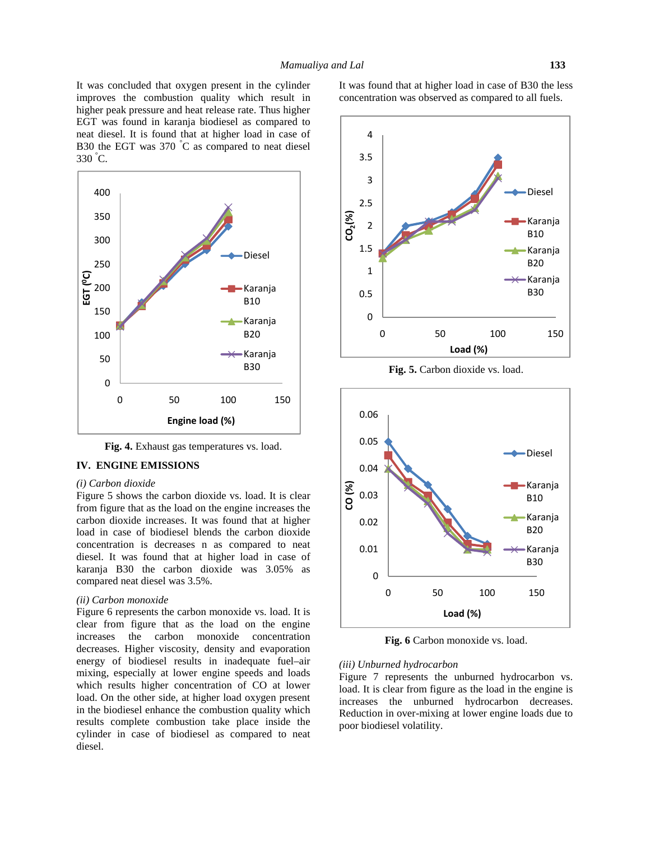It was concluded that oxygen present in the cylinder improves the combustion quality which result in higher peak pressure and heat release rate. Thus higher EGT was found in karanja biodiesel as compared to neat diesel. It is found that at higher load in case of B30 the EGT was 370 °C as compared to neat diesel 330 °C.



**Fig. 4.** Exhaust gas temperatures vs. load.

#### **IV. ENGINE EMISSIONS**

#### *(i) Carbon dioxide*

Figure 5 shows the carbon dioxide vs. load. It is clear from figure that as the load on the engine increases the carbon dioxide increases. It was found that at higher load in case of biodiesel blends the carbon dioxide concentration is decreases n as compared to neat diesel. It was found that at higher load in case of karanja B30 the carbon dioxide was 3.05% as compared neat diesel was 3.5%.

## *(ii) Carbon monoxide*

Figure 6 represents the carbon monoxide vs. load. It is clear from figure that as the load on the engine increases the carbon monoxide concentration decreases. Higher viscosity, density and evaporation energy of biodiesel results in inadequate fuel–air mixing, especially at lower engine speeds and loads which results higher concentration of CO at lower load. On the other side, at higher load oxygen present in the biodiesel enhance the combustion quality which results complete combustion take place inside the cylinder in case of biodiesel as compared to neat diesel.

It was found that at higher load in case of B30 the less concentration was observed as compared to all fuels.



**Fig. 5.** Carbon dioxide vs. load.



**Fig. 6** Carbon monoxide vs. load.

## *(iii) Unburned hydrocarbon*

Figure 7 represents the unburned hydrocarbon vs. load. It is clear from figure as the load in the engine is increases the unburned hydrocarbon decreases. Reduction in over-mixing at lower engine loads due to poor biodiesel volatility.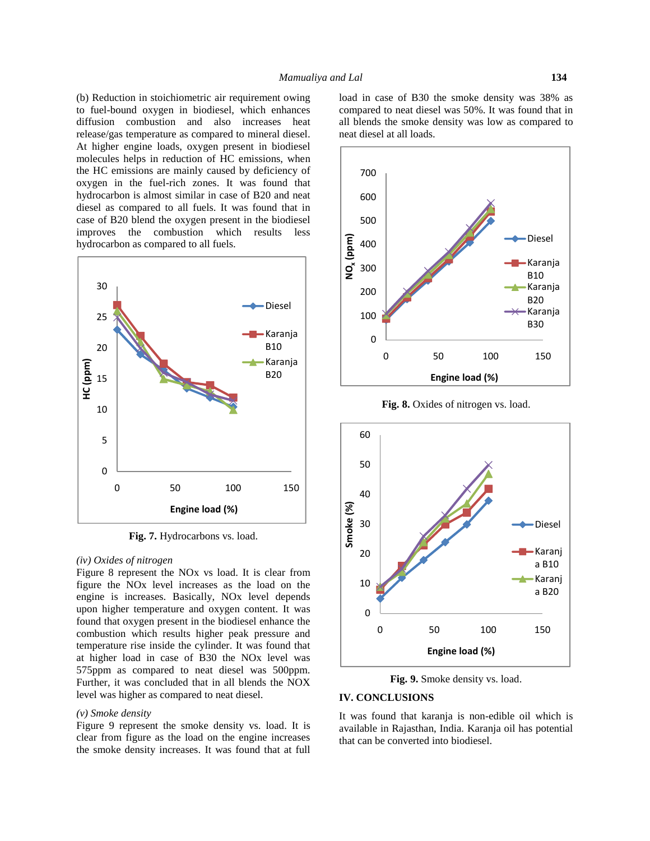(b) Reduction in stoichiometric air requirement owing to fuel-bound oxygen in biodiesel, which enhances diffusion combustion and also increases heat release/gas temperature as compared to mineral diesel. At higher engine loads, oxygen present in biodiesel molecules helps in reduction of HC emissions, when the HC emissions are mainly caused by deficiency of oxygen in the fuel-rich zones. It was found that hydrocarbon is almost similar in case of B20 and neat diesel as compared to all fuels. It was found that in case of B20 blend the oxygen present in the biodiesel improves the combustion which results less hydrocarbon as compared to all fuels.



**Fig. 7.** Hydrocarbons vs. load.

#### *(iv) Oxides of nitrogen*

Figure 8 represent the NOx vs load. It is clear from figure the NOx level increases as the load on the engine is increases. Basically, NOx level depends upon higher temperature and oxygen content. It was found that oxygen present in the biodiesel enhance the combustion which results higher peak pressure and temperature rise inside the cylinder. It was found that at higher load in case of B30 the NOx level was 575ppm as compared to neat diesel was 500ppm. Further, it was concluded that in all blends the NOX level was higher as compared to neat diesel.

#### *(v) Smoke density*

Figure 9 represent the smoke density vs. load. It is clear from figure as the load on the engine increases the smoke density increases. It was found that at full load in case of B30 the smoke density was 38% as compared to neat diesel was 50%. It was found that in all blends the smoke density was low as compared to neat diesel at all loads.



**Fig. 8.** Oxides of nitrogen vs. load.



**Fig. 9.** Smoke density vs. load.

## **IV. CONCLUSIONS**

It was found that karanja is non-edible oil which is available in Rajasthan, India. Karanja oil has potential that can be converted into biodiesel.